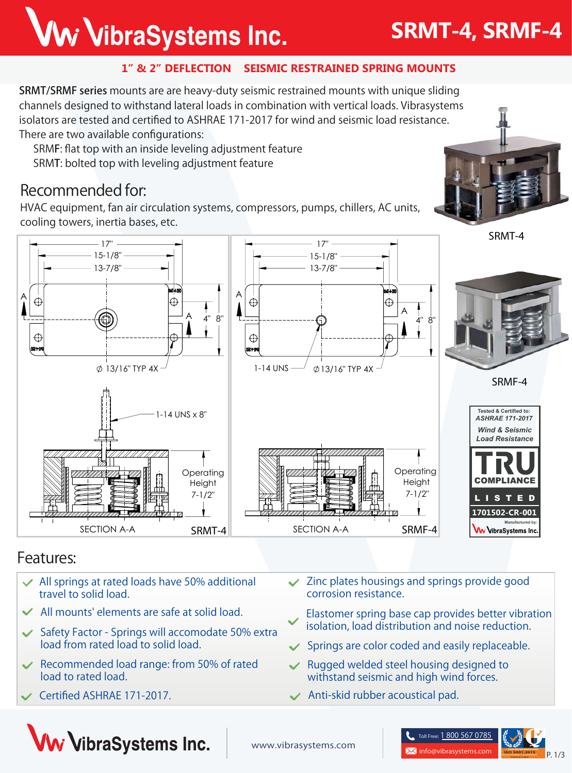## Ww VibraSystems Inc.

#### **1" & 2" DEFLECTION SEISMIC RESTRAINED SPRING MOUNTS**

SRMT/SRMF series mounts are are heavy-duty seismic restrained mounts with unique sliding channels designed to withstand lateral loads in combination with vertical loads. Vibrasystems isolators are tested and certified to ASHRAE 171-2017 for wind and seismic load resistance. There are two available configurations:

SRMF: flat top with an inside leveling adjustment feature

SRMT: bolted top with leveling adjustment feature

## **Recommended for:**

HVAC equipment, fan air circulation systems, compressors, pumps, chillers, AC units, cooling towers, inertia bases, etc.



### **Features:**

- **All springs at rated loads have 50% additional travel to solid load.**
- **All mounts' elements are safe at solid load.**
- **Safety Factor Springs will accomodate 50% extra load from rated load to solid load.**
- **Recommended load range: from 50% of rated load to rated load.**
- **Certified ASHRAE 171-2017.**
- **Zinc plates housings and springs provide good corrosion resistance.**
- **Elastomer spring base cap provides better vibration isolation, load distribution and noise reduction.**
- **Springs are color coded and easily replaceable.**
- **Rugged welded steel housing designed to withstand seismic and high wind forces.**
- **Anti-skid rubber acoustical pad.**





## **SRMT-4, SRMF-4**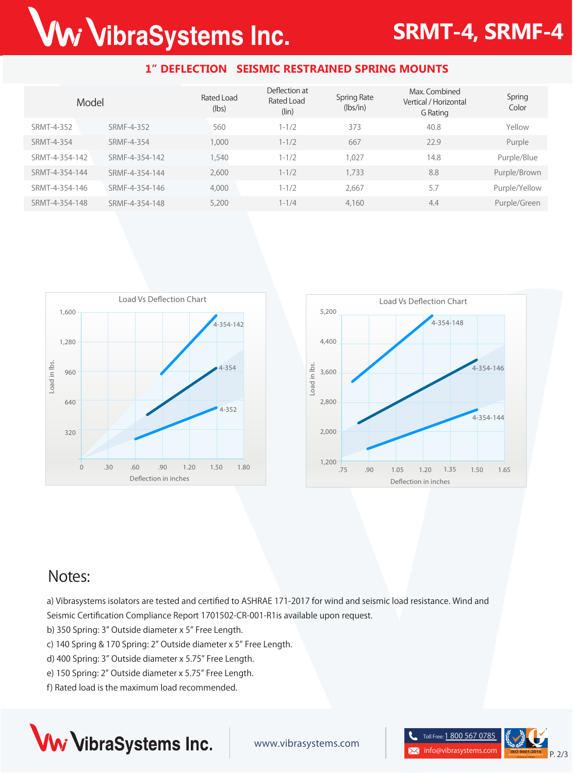# Ww VibraSystems Inc.

## **SRMT-4, SRMF-4**

#### **1" DEFLECTION SEISMIC RESTRAINED SPRING MOUNTS**

| Model          |                | Rated Load<br>(lbs) | Deflection at<br>Rated Load<br>(lin) | <b>Spring Rate</b><br>(lbs/in) | Max. Combined<br>Vertical / Horizontal<br>G Rating | Spring<br>Color |
|----------------|----------------|---------------------|--------------------------------------|--------------------------------|----------------------------------------------------|-----------------|
| SRMT-4-352     | SRMF-4-352     | 560                 | $1 - 1/2$                            | 373                            | 40.8                                               | Yellow          |
| SRMT-4-354     | SRMF-4-354     | 1,000               | $1 - 1/2$                            | 667                            | 22.9                                               | Purple          |
| SRMT-4-354-142 | SRMF-4-354-142 | .540                | $1 - 1/2$                            | 1.027                          | 14.8                                               | Purple/Blue     |
| SRMT-4-354-144 | SRMF-4-354-144 | 2,600               | $1 - 1/2$                            | 1,733                          | 8.8                                                | Purple/Brown    |
| SRMT-4-354-146 | SRMF-4-354-146 | 4,000               | $1 - 1/2$                            | 2.667                          | 5.7                                                | Purple/Yellow   |
| SRMT-4-354-148 | SRMF-4-354-148 | 5,200               | $1 - 1/4$                            | 4,160                          | 4.4                                                | Purple/Green    |





## **Notes:**

a) Vibrasystems isolators are tested and certified to ASHRAE 171-2017 for wind and seismic load resistance. Wind and Seismic Certification Compliance Report 1701502-CR-001-R1is available upon request.

b) 350 Spring: 3" Outside diameter x 5" Free Length.

c) 140 Spring & 170 Spring: 2" Outside diameter x 5" Free Length.

- d) 400 Spring: 3" Outside diameter x 5.75" Free Length.
- e) 150 Spring: 2" Outside diameter x 5.75" Free Length.
- f) Rated load is the maximum load recommended.



www.vibrasystems.com